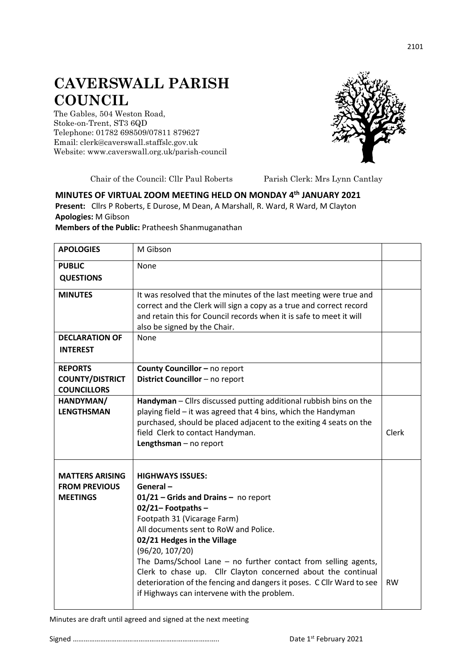## **CAVERSWALL PARISH COUNCIL**

The Gables, 504 Weston Road, Stoke-on-Trent, ST3 6QD Telephone: 01782 698509/07811 879627 Email: clerk@caverswall.staffslc.gov.uk Website: [www.c](http://www.dilhorneparishcouncil.co.uk/)averswall.org.uk/parish-council



Chair of the Council: Cllr Paul Roberts Parish Clerk: Mrs Lynn Cantlay

## **MINUTES OF VIRTUAL ZOOM MEETING HELD ON MONDAY 4 th JANUARY 2021 Present:** Cllrs P Roberts, E Durose, M Dean, A Marshall, R. Ward, R Ward, M Clayton **Apologies:** M Gibson

**Members of the Public:** Pratheesh Shanmuganathan

| <b>APOLOGIES</b>                                                  | M Gibson                                                                                                                                                                                                                                                                                                                                                                                                                                                                                      |           |
|-------------------------------------------------------------------|-----------------------------------------------------------------------------------------------------------------------------------------------------------------------------------------------------------------------------------------------------------------------------------------------------------------------------------------------------------------------------------------------------------------------------------------------------------------------------------------------|-----------|
| <b>PUBLIC</b><br><b>QUESTIONS</b>                                 | None                                                                                                                                                                                                                                                                                                                                                                                                                                                                                          |           |
| <b>MINUTES</b>                                                    | It was resolved that the minutes of the last meeting were true and<br>correct and the Clerk will sign a copy as a true and correct record<br>and retain this for Council records when it is safe to meet it will<br>also be signed by the Chair.                                                                                                                                                                                                                                              |           |
| <b>DECLARATION OF</b><br><b>INTEREST</b>                          | None                                                                                                                                                                                                                                                                                                                                                                                                                                                                                          |           |
| <b>REPORTS</b><br><b>COUNTY/DISTRICT</b><br><b>COUNCILLORS</b>    | County Councillor - no report<br>District Councillor - no report                                                                                                                                                                                                                                                                                                                                                                                                                              |           |
| HANDYMAN/<br><b>LENGTHSMAN</b>                                    | Handyman - Cllrs discussed putting additional rubbish bins on the<br>playing field - it was agreed that 4 bins, which the Handyman<br>purchased, should be placed adjacent to the exiting 4 seats on the<br>field Clerk to contact Handyman.<br>Lengthsman - no report                                                                                                                                                                                                                        | Clerk     |
| <b>MATTERS ARISING</b><br><b>FROM PREVIOUS</b><br><b>MEETINGS</b> | <b>HIGHWAYS ISSUES:</b><br>General-<br>$01/21$ – Grids and Drains – no report<br>$02/21 -$ Footpaths -<br>Footpath 31 (Vicarage Farm)<br>All documents sent to RoW and Police.<br>02/21 Hedges in the Village<br>(96/20, 107/20)<br>The Dams/School Lane $-$ no further contact from selling agents,<br>Clerk to chase up. Cllr Clayton concerned about the continual<br>deterioration of the fencing and dangers it poses. C Cllr Ward to see<br>if Highways can intervene with the problem. | <b>RW</b> |

Minutes are draft until agreed and signed at the next meeting

Signed …………………………………………………………………….. Date 1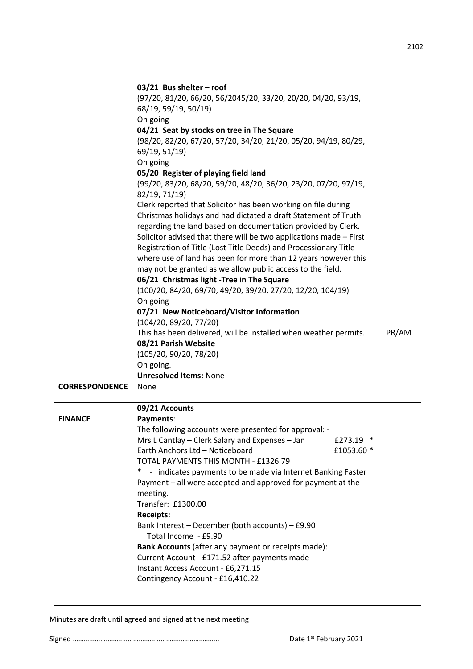|                       | 03/21 Bus shelter - roof<br>(97/20, 81/20, 66/20, 56/2045/20, 33/20, 20/20, 04/20, 93/19,<br>68/19, 59/19, 50/19)<br>On going<br>04/21 Seat by stocks on tree in The Square<br>(98/20, 82/20, 67/20, 57/20, 34/20, 21/20, 05/20, 94/19, 80/29,<br>69/19, 51/19)<br>On going<br>05/20 Register of playing field land<br>(99/20, 83/20, 68/20, 59/20, 48/20, 36/20, 23/20, 07/20, 97/19,<br>82/19, 71/19)<br>Clerk reported that Solicitor has been working on file during<br>Christmas holidays and had dictated a draft Statement of Truth<br>regarding the land based on documentation provided by Clerk.<br>Solicitor advised that there will be two applications made - First<br>Registration of Title (Lost Title Deeds) and Processionary Title<br>where use of land has been for more than 12 years however this<br>may not be granted as we allow public access to the field.<br>06/21 Christmas light -Tree in The Square<br>(100/20, 84/20, 69/70, 49/20, 39/20, 27/20, 12/20, 104/19)<br>On going<br>07/21 New Noticeboard/Visitor Information<br>(104/20, 89/20, 77/20) |       |
|-----------------------|------------------------------------------------------------------------------------------------------------------------------------------------------------------------------------------------------------------------------------------------------------------------------------------------------------------------------------------------------------------------------------------------------------------------------------------------------------------------------------------------------------------------------------------------------------------------------------------------------------------------------------------------------------------------------------------------------------------------------------------------------------------------------------------------------------------------------------------------------------------------------------------------------------------------------------------------------------------------------------------------------------------------------------------------------------------------------------|-------|
|                       | This has been delivered, will be installed when weather permits.                                                                                                                                                                                                                                                                                                                                                                                                                                                                                                                                                                                                                                                                                                                                                                                                                                                                                                                                                                                                                   | PR/AM |
|                       | 08/21 Parish Website<br>(105/20, 90/20, 78/20)                                                                                                                                                                                                                                                                                                                                                                                                                                                                                                                                                                                                                                                                                                                                                                                                                                                                                                                                                                                                                                     |       |
|                       | On going.<br><b>Unresolved Items: None</b>                                                                                                                                                                                                                                                                                                                                                                                                                                                                                                                                                                                                                                                                                                                                                                                                                                                                                                                                                                                                                                         |       |
| <b>CORRESPONDENCE</b> | None                                                                                                                                                                                                                                                                                                                                                                                                                                                                                                                                                                                                                                                                                                                                                                                                                                                                                                                                                                                                                                                                               |       |
| <b>FINANCE</b>        | 09/21 Accounts<br>Payments:<br>The following accounts were presented for approval: -<br>Mrs L Cantlay - Clerk Salary and Expenses - Jan<br>£273.19 $*$<br>Earth Anchors Ltd - Noticeboard<br>£1053.60 *<br>TOTAL PAYMENTS THIS MONTH - £1326.79<br>- indicates payments to be made via Internet Banking Faster<br>$\ast$<br>Payment - all were accepted and approved for payment at the<br>meeting.<br>Transfer: £1300.00<br><b>Receipts:</b><br>Bank Interest - December (both accounts) - £9.90<br>Total Income - £9.90<br>Bank Accounts (after any payment or receipts made):<br>Current Account - £171.52 after payments made<br>Instant Access Account - £6,271.15<br>Contingency Account - £16,410.22                                                                                                                                                                                                                                                                                                                                                                        |       |

Minutes are draft until agreed and signed at the next meeting

Signed …………………………………………………………………….. Date 1